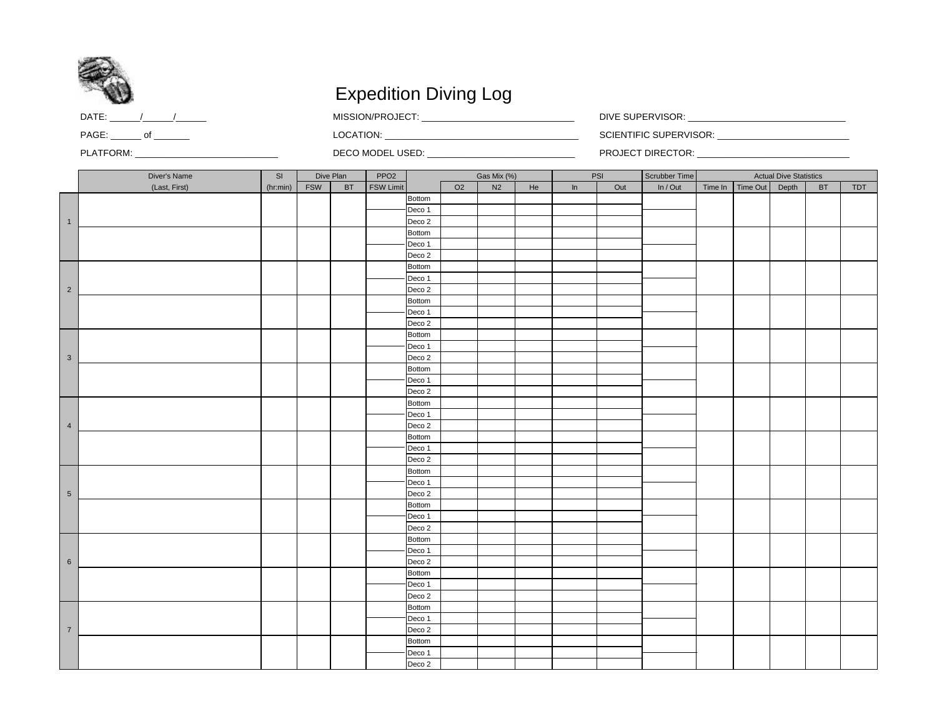

## Expedition Diving Log

| DATE | <br>.<br>$-$ | DIVI<br><b>AUD</b><br>- סראפוויס<br>חשטו. |
|------|--------------|-------------------------------------------|
| PAGE | _OCATIO      | 1.105511005<br>RVISOR<br>.                |

DATE: \_\_\_\_\_\_/\_\_\_\_\_\_/\_\_\_\_\_\_ MISSION/PROJECT: \_\_\_\_\_\_\_\_\_\_\_\_\_\_\_\_\_\_\_\_\_\_\_\_\_\_\_\_\_\_ DIVE SUPERVISOR: \_\_\_\_\_\_\_\_\_\_\_\_\_\_\_\_\_\_\_\_\_\_\_\_\_\_\_\_\_\_\_

PLATFORM: \_\_\_\_\_\_\_\_\_\_\_\_\_\_\_\_\_\_\_\_\_\_\_\_\_\_\_\_ DECO MODEL USED: \_\_\_\_\_\_\_\_\_\_\_\_\_\_\_\_\_\_\_\_\_\_\_\_\_\_\_\_\_ PROJECT DIRECTOR: \_\_\_\_\_\_\_\_\_\_\_\_\_\_\_\_\_\_\_\_\_\_\_\_\_\_\_\_\_\_

|                | Diver's Name  | SI       | Dive Plan  |               | PPO <sub>2</sub> | Gas Mix (%)                        |                | PSI            |    |    | Scrubber Time |          |         | <b>Actual Dive Statistics</b> |       |               |     |
|----------------|---------------|----------|------------|---------------|------------------|------------------------------------|----------------|----------------|----|----|---------------|----------|---------|-------------------------------|-------|---------------|-----|
|                | (Last, First) | (hr:min) | <b>FSW</b> | $\mathsf{BT}$ | <b>FSW Limit</b> |                                    | O <sub>2</sub> | N <sub>2</sub> | He | In | Out           | In / Out | Time In | Time Out                      | Depth | $\mathsf{BT}$ | TDT |
|                |               |          |            |               |                  | <b>Bottom</b>                      |                |                |    |    |               |          |         |                               |       |               |     |
|                |               |          |            |               |                  | Deco 1                             |                |                |    |    |               |          |         |                               |       |               |     |
| $\overline{1}$ |               |          |            |               |                  | Deco <sub>2</sub>                  |                |                |    |    |               |          |         |                               |       |               |     |
|                |               |          |            |               |                  | <b>Bottom</b>                      |                |                |    |    |               |          |         |                               |       |               |     |
|                |               |          |            |               |                  | Deco 1                             |                |                |    |    |               |          |         |                               |       |               |     |
|                |               |          |            |               |                  | Deco <sub>2</sub>                  |                |                |    |    |               |          |         |                               |       |               |     |
|                |               |          |            |               |                  | Bottom                             |                |                |    |    |               |          |         |                               |       |               |     |
|                |               |          |            |               |                  | Deco 1                             |                |                |    |    |               |          |         |                               |       |               |     |
| $\overline{2}$ |               |          |            |               |                  | Deco <sub>2</sub>                  |                |                |    |    |               |          |         |                               |       |               |     |
|                |               |          |            |               |                  | Bottom                             |                |                |    |    |               |          |         |                               |       |               |     |
|                |               |          |            |               |                  | Deco 1                             |                |                |    |    |               |          |         |                               |       |               |     |
|                |               |          |            |               |                  | Deco <sub>2</sub>                  |                |                |    |    |               |          |         |                               |       |               |     |
|                |               |          |            |               |                  | <b>Bottom</b>                      |                |                |    |    |               |          |         |                               |       |               |     |
|                |               |          |            |               |                  | Deco 1                             |                |                |    |    |               |          |         |                               |       |               |     |
| $\mathbf{3}$   |               |          |            |               |                  | Deco 2                             |                |                |    |    |               |          |         |                               |       |               |     |
|                |               |          |            |               |                  | <b>Bottom</b>                      |                |                |    |    |               |          |         |                               |       |               |     |
|                |               |          |            |               |                  | Deco 1                             |                |                |    |    |               |          |         |                               |       |               |     |
|                |               |          |            |               |                  | Deco <sub>2</sub>                  |                |                |    |    |               |          |         |                               |       |               |     |
|                |               |          |            |               |                  | Bottom                             |                |                |    |    |               |          |         |                               |       |               |     |
|                |               |          |            |               |                  | Deco 1                             |                |                |    |    |               |          |         |                               |       |               |     |
| $\overline{4}$ |               |          |            |               |                  | Deco <sub>2</sub><br><b>Bottom</b> |                |                |    |    |               |          |         |                               |       |               |     |
|                |               |          |            |               |                  | Deco 1                             |                |                |    |    |               |          |         |                               |       |               |     |
|                |               |          |            |               |                  | Deco 2                             |                |                |    |    |               |          |         |                               |       |               |     |
|                |               |          |            |               |                  | <b>Bottom</b>                      |                |                |    |    |               |          |         |                               |       |               |     |
|                |               |          |            |               |                  | Deco 1                             |                |                |    |    |               |          |         |                               |       |               |     |
| $\,$ 5 $\,$    |               |          |            |               |                  | Deco 2                             |                |                |    |    |               |          |         |                               |       |               |     |
|                |               |          |            |               |                  | <b>Bottom</b>                      |                |                |    |    |               |          |         |                               |       |               |     |
|                |               |          |            |               |                  | Deco 1                             |                |                |    |    |               |          |         |                               |       |               |     |
|                |               |          |            |               |                  | Deco <sub>2</sub>                  |                |                |    |    |               |          |         |                               |       |               |     |
|                |               |          |            |               |                  | Bottom                             |                |                |    |    |               |          |         |                               |       |               |     |
|                |               |          |            |               |                  | Deco 1                             |                |                |    |    |               |          |         |                               |       |               |     |
| 6              |               |          |            |               |                  | Deco 2                             |                |                |    |    |               |          |         |                               |       |               |     |
|                |               |          |            |               |                  | Bottom                             |                |                |    |    |               |          |         |                               |       |               |     |
|                |               |          |            |               |                  | Deco 1                             |                |                |    |    |               |          |         |                               |       |               |     |
|                |               |          |            |               |                  | Deco <sub>2</sub>                  |                |                |    |    |               |          |         |                               |       |               |     |
|                |               |          |            |               |                  | <b>Bottom</b>                      |                |                |    |    |               |          |         |                               |       |               |     |
|                |               |          |            |               |                  | Deco 1                             |                |                |    |    |               |          |         |                               |       |               |     |
| $\overline{7}$ |               |          |            |               |                  | Deco <sub>2</sub>                  |                |                |    |    |               |          |         |                               |       |               |     |
|                |               |          |            |               |                  | Bottom                             |                |                |    |    |               |          |         |                               |       |               |     |
|                |               |          |            |               |                  | Deco 1                             |                |                |    |    |               |          |         |                               |       |               |     |
|                |               |          |            |               |                  | Deco <sub>2</sub>                  |                |                |    |    |               |          |         |                               |       |               |     |